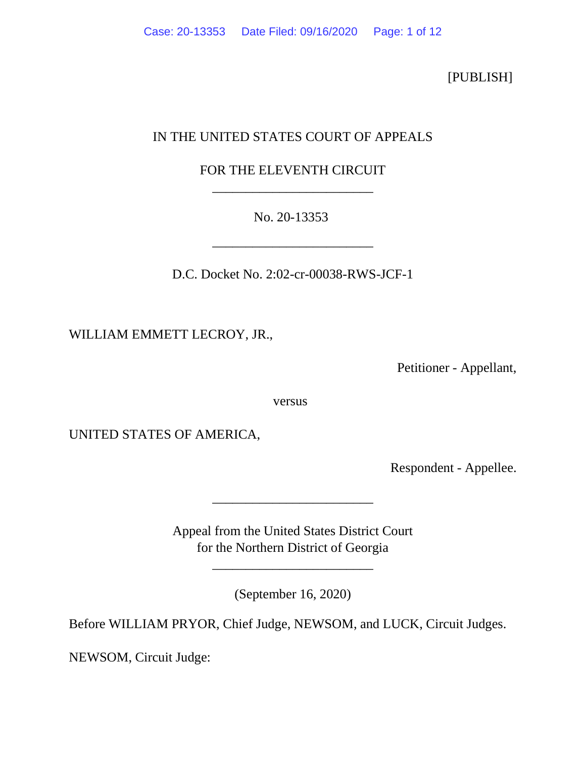[PUBLISH]

## IN THE UNITED STATES COURT OF APPEALS

## FOR THE ELEVENTH CIRCUIT \_\_\_\_\_\_\_\_\_\_\_\_\_\_\_\_\_\_\_\_\_\_\_\_

No. 20-13353

\_\_\_\_\_\_\_\_\_\_\_\_\_\_\_\_\_\_\_\_\_\_\_\_

D.C. Docket No. 2:02-cr-00038-RWS-JCF-1

WILLIAM EMMETT LECROY, JR.,

Petitioner - Appellant,

versus

UNITED STATES OF AMERICA,

Respondent - Appellee.

Appeal from the United States District Court for the Northern District of Georgia

\_\_\_\_\_\_\_\_\_\_\_\_\_\_\_\_\_\_\_\_\_\_\_\_

\_\_\_\_\_\_\_\_\_\_\_\_\_\_\_\_\_\_\_\_\_\_\_\_

(September 16, 2020)

Before WILLIAM PRYOR, Chief Judge, NEWSOM, and LUCK, Circuit Judges.

NEWSOM, Circuit Judge: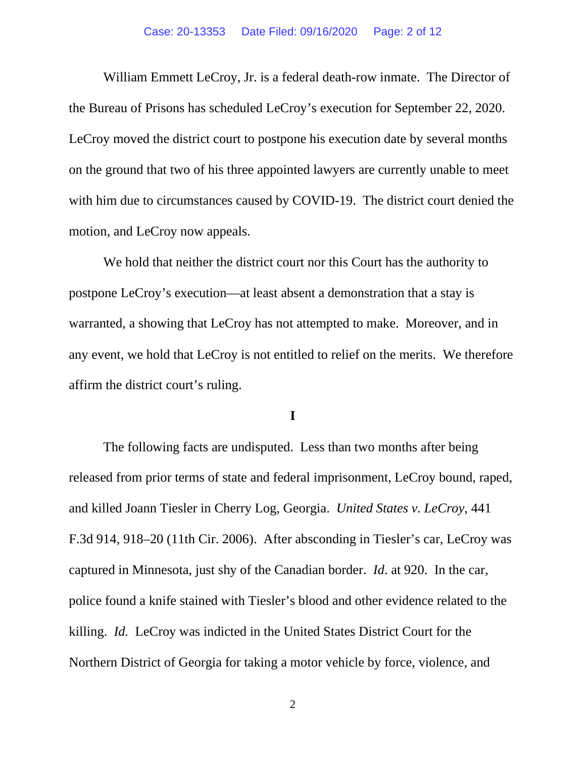William Emmett LeCroy, Jr. is a federal death-row inmate. The Director of the Bureau of Prisons has scheduled LeCroy's execution for September 22, 2020. LeCroy moved the district court to postpone his execution date by several months on the ground that two of his three appointed lawyers are currently unable to meet with him due to circumstances caused by COVID-19. The district court denied the motion, and LeCroy now appeals.

We hold that neither the district court nor this Court has the authority to postpone LeCroy's execution—at least absent a demonstration that a stay is warranted, a showing that LeCroy has not attempted to make. Moreover, and in any event, we hold that LeCroy is not entitled to relief on the merits. We therefore affirm the district court's ruling.

**I**

The following facts are undisputed. Less than two months after being released from prior terms of state and federal imprisonment, LeCroy bound, raped, and killed Joann Tiesler in Cherry Log, Georgia. *United States v. LeCroy*, 441 F.3d 914, 918–20 (11th Cir. 2006). After absconding in Tiesler's car, LeCroy was captured in Minnesota, just shy of the Canadian border. *Id*. at 920. In the car, police found a knife stained with Tiesler's blood and other evidence related to the killing. *Id.* LeCroy was indicted in the United States District Court for the Northern District of Georgia for taking a motor vehicle by force, violence, and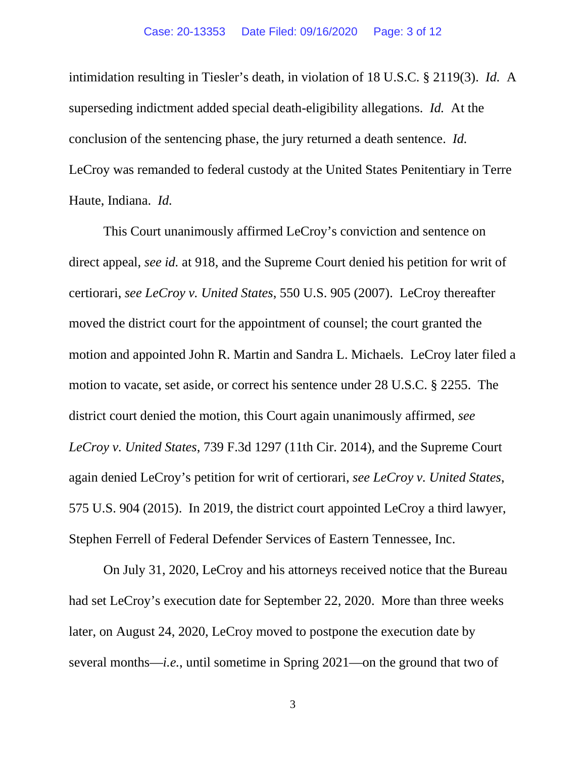intimidation resulting in Tiesler's death, in violation of 18 U.S.C. § 2119(3). *Id.* A superseding indictment added special death-eligibility allegations. *Id.* At the conclusion of the sentencing phase, the jury returned a death sentence. *Id.*  LeCroy was remanded to federal custody at the United States Penitentiary in Terre Haute, Indiana. *Id.* 

This Court unanimously affirmed LeCroy's conviction and sentence on direct appeal, *see id.* at 918, and the Supreme Court denied his petition for writ of certiorari, *see LeCroy v. United States*, 550 U.S. 905 (2007). LeCroy thereafter moved the district court for the appointment of counsel; the court granted the motion and appointed John R. Martin and Sandra L. Michaels. LeCroy later filed a motion to vacate, set aside, or correct his sentence under 28 U.S.C. § 2255. The district court denied the motion, this Court again unanimously affirmed, *see LeCroy v. United States*, 739 F.3d 1297 (11th Cir. 2014), and the Supreme Court again denied LeCroy's petition for writ of certiorari, *see LeCroy v. United States*, 575 U.S. 904 (2015). In 2019, the district court appointed LeCroy a third lawyer, Stephen Ferrell of Federal Defender Services of Eastern Tennessee, Inc.

On July 31, 2020, LeCroy and his attorneys received notice that the Bureau had set LeCroy's execution date for September 22, 2020. More than three weeks later, on August 24, 2020, LeCroy moved to postpone the execution date by several months—*i.e.*, until sometime in Spring 2021—on the ground that two of

3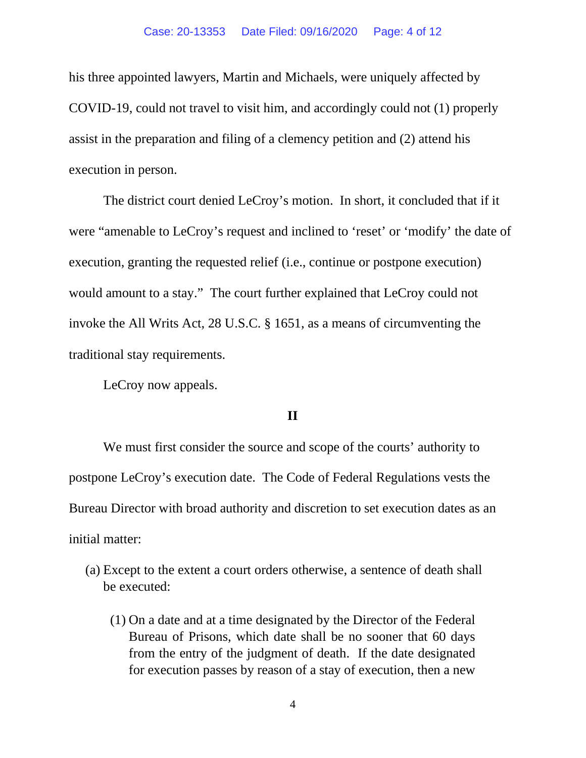### Case: 20-13353 Date Filed: 09/16/2020 Page: 4 of 12

his three appointed lawyers, Martin and Michaels, were uniquely affected by COVID-19, could not travel to visit him, and accordingly could not (1) properly assist in the preparation and filing of a clemency petition and (2) attend his execution in person.

The district court denied LeCroy's motion. In short, it concluded that if it were "amenable to LeCroy's request and inclined to 'reset' or 'modify' the date of execution, granting the requested relief (i.e., continue or postpone execution) would amount to a stay." The court further explained that LeCroy could not invoke the All Writs Act, 28 U.S.C. § 1651, as a means of circumventing the traditional stay requirements.

LeCroy now appeals.

### **II**

We must first consider the source and scope of the courts' authority to postpone LeCroy's execution date. The Code of Federal Regulations vests the Bureau Director with broad authority and discretion to set execution dates as an initial matter:

- (a) Except to the extent a court orders otherwise, a sentence of death shall be executed:
	- (1) On a date and at a time designated by the Director of the Federal Bureau of Prisons, which date shall be no sooner that 60 days from the entry of the judgment of death. If the date designated for execution passes by reason of a stay of execution, then a new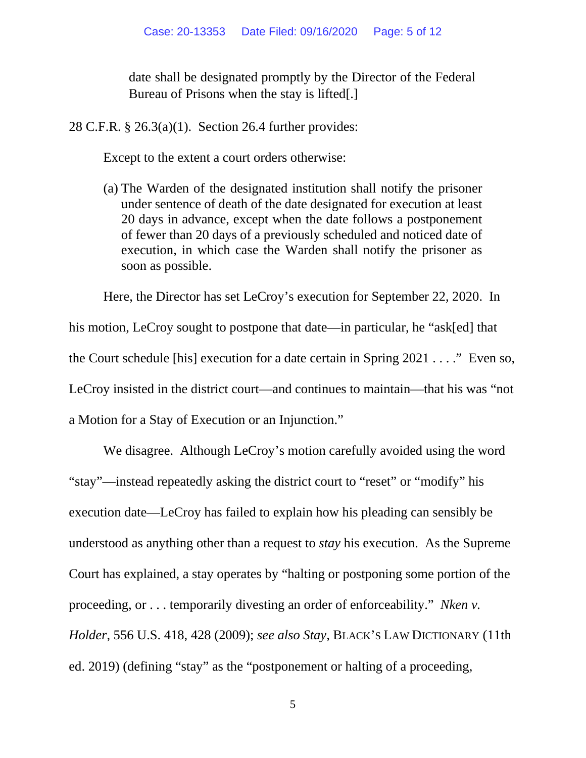date shall be designated promptly by the Director of the Federal Bureau of Prisons when the stay is lifted[.]

28 C.F.R. § 26.3(a)(1). Section 26.4 further provides:

Except to the extent a court orders otherwise:

(a) The Warden of the designated institution shall notify the prisoner under sentence of death of the date designated for execution at least 20 days in advance, except when the date follows a postponement of fewer than 20 days of a previously scheduled and noticed date of execution, in which case the Warden shall notify the prisoner as soon as possible.

Here, the Director has set LeCroy's execution for September 22, 2020. In his motion, LeCroy sought to postpone that date—in particular, he "ask[ed] that the Court schedule [his] execution for a date certain in Spring 2021 . . . ." Even so, LeCroy insisted in the district court—and continues to maintain—that his was "not a Motion for a Stay of Execution or an Injunction."

We disagree. Although LeCroy's motion carefully avoided using the word "stay"—instead repeatedly asking the district court to "reset" or "modify" his execution date—LeCroy has failed to explain how his pleading can sensibly be understood as anything other than a request to *stay* his execution. As the Supreme Court has explained, a stay operates by "halting or postponing some portion of the proceeding, or . . . temporarily divesting an order of enforceability." *Nken v. Holder*, 556 U.S. 418, 428 (2009); *see also Stay,* BLACK'S LAW DICTIONARY (11th ed. 2019) (defining "stay" as the "postponement or halting of a proceeding,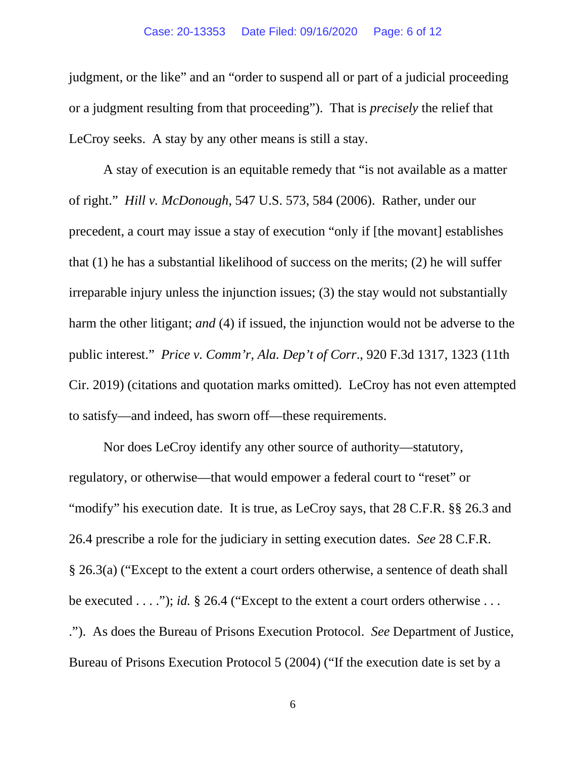#### Case: 20-13353 Date Filed: 09/16/2020 Page: 6 of 12

judgment, or the like" and an "order to suspend all or part of a judicial proceeding or a judgment resulting from that proceeding"). That is *precisely* the relief that LeCroy seeks. A stay by any other means is still a stay.

A stay of execution is an equitable remedy that "is not available as a matter of right." *Hill v. McDonough*, 547 U.S. 573, 584 (2006). Rather, under our precedent, a court may issue a stay of execution "only if [the movant] establishes that (1) he has a substantial likelihood of success on the merits; (2) he will suffer irreparable injury unless the injunction issues; (3) the stay would not substantially harm the other litigant; *and* (4) if issued, the injunction would not be adverse to the public interest." *Price v. Comm'r, Ala. Dep't of Corr*., 920 F.3d 1317, 1323 (11th Cir. 2019) (citations and quotation marks omitted). LeCroy has not even attempted to satisfy—and indeed, has sworn off—these requirements.

Nor does LeCroy identify any other source of authority—statutory, regulatory, or otherwise—that would empower a federal court to "reset" or "modify" his execution date. It is true, as LeCroy says, that 28 C.F.R. §§ 26.3 and 26.4 prescribe a role for the judiciary in setting execution dates. *See* 28 C.F.R. § 26.3(a) ("Except to the extent a court orders otherwise, a sentence of death shall be executed . . . ."); *id.* § 26.4 ("Except to the extent a court orders otherwise . . . ."). As does the Bureau of Prisons Execution Protocol. *See* Department of Justice, Bureau of Prisons Execution Protocol 5 (2004) ("If the execution date is set by a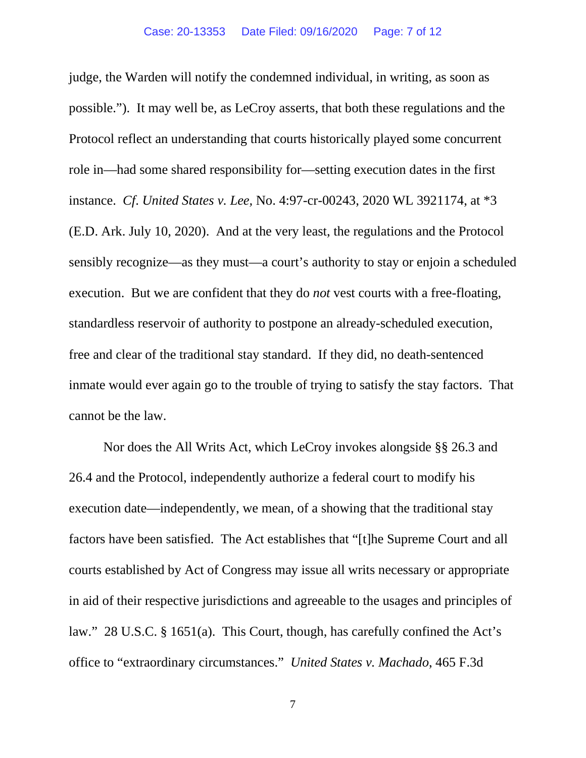judge, the Warden will notify the condemned individual, in writing, as soon as possible."). It may well be, as LeCroy asserts, that both these regulations and the Protocol reflect an understanding that courts historically played some concurrent role in—had some shared responsibility for—setting execution dates in the first instance. *Cf*. *United States v. Lee,* No. 4:97-cr-00243, 2020 WL 3921174, at \*3 (E.D. Ark. July 10, 2020). And at the very least, the regulations and the Protocol sensibly recognize—as they must—a court's authority to stay or enjoin a scheduled execution. But we are confident that they do *not* vest courts with a free-floating, standardless reservoir of authority to postpone an already-scheduled execution, free and clear of the traditional stay standard. If they did, no death-sentenced inmate would ever again go to the trouble of trying to satisfy the stay factors. That cannot be the law.

Nor does the All Writs Act, which LeCroy invokes alongside §§ 26.3 and 26.4 and the Protocol, independently authorize a federal court to modify his execution date—independently, we mean, of a showing that the traditional stay factors have been satisfied. The Act establishes that "[t]he Supreme Court and all courts established by Act of Congress may issue all writs necessary or appropriate in aid of their respective jurisdictions and agreeable to the usages and principles of law." 28 U.S.C. § 1651(a). This Court, though, has carefully confined the Act's office to "extraordinary circumstances." *United States v. Machado*, 465 F.3d

7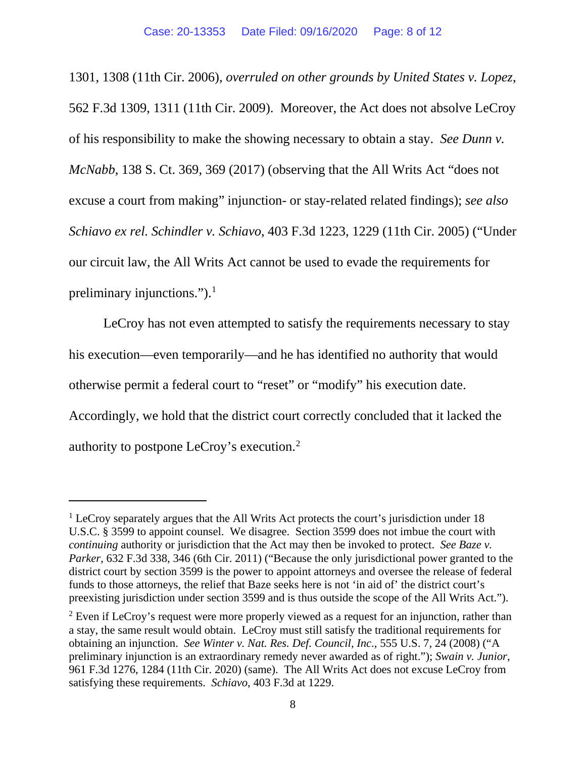1301, 1308 (11th Cir. 2006), *overruled on other grounds by United States v. Lopez*, 562 F.3d 1309, 1311 (11th Cir. 2009). Moreover, the Act does not absolve LeCroy of his responsibility to make the showing necessary to obtain a stay. *See Dunn v. McNabb*, 138 S. Ct. 369, 369 (2017) (observing that the All Writs Act "does not excuse a court from making" injunction- or stay-related related findings); *see also Schiavo ex rel. Schindler v. Schiavo*, 403 F.3d 1223, 1229 (11th Cir. 2005) ("Under our circuit law, the All Writs Act cannot be used to evade the requirements for preliminary injunctions.").<sup>1</sup>

LeCroy has not even attempted to satisfy the requirements necessary to stay his execution—even temporarily—and he has identified no authority that would otherwise permit a federal court to "reset" or "modify" his execution date. Accordingly, we hold that the district court correctly concluded that it lacked the authority to postpone LeCroy's execution.2

 $<sup>1</sup>$  LeCroy separately argues that the All Writs Act protects the court's jurisdiction under 18</sup> U.S.C. § 3599 to appoint counsel. We disagree. Section 3599 does not imbue the court with *continuing* authority or jurisdiction that the Act may then be invoked to protect. *See Baze v. Parker*, 632 F.3d 338, 346 (6th Cir. 2011) ("Because the only jurisdictional power granted to the district court by section 3599 is the power to appoint attorneys and oversee the release of federal funds to those attorneys, the relief that Baze seeks here is not 'in aid of' the district court's preexisting jurisdiction under section 3599 and is thus outside the scope of the All Writs Act.").

 $2$  Even if LeCroy's request were more properly viewed as a request for an injunction, rather than a stay, the same result would obtain. LeCroy must still satisfy the traditional requirements for obtaining an injunction. *See Winter v. Nat. Res. Def. Council, Inc*., 555 U.S. 7, 24 (2008) ("A preliminary injunction is an extraordinary remedy never awarded as of right."); *Swain v. Junior*, 961 F.3d 1276, 1284 (11th Cir. 2020) (same). The All Writs Act does not excuse LeCroy from satisfying these requirements. *Schiavo*, 403 F.3d at 1229.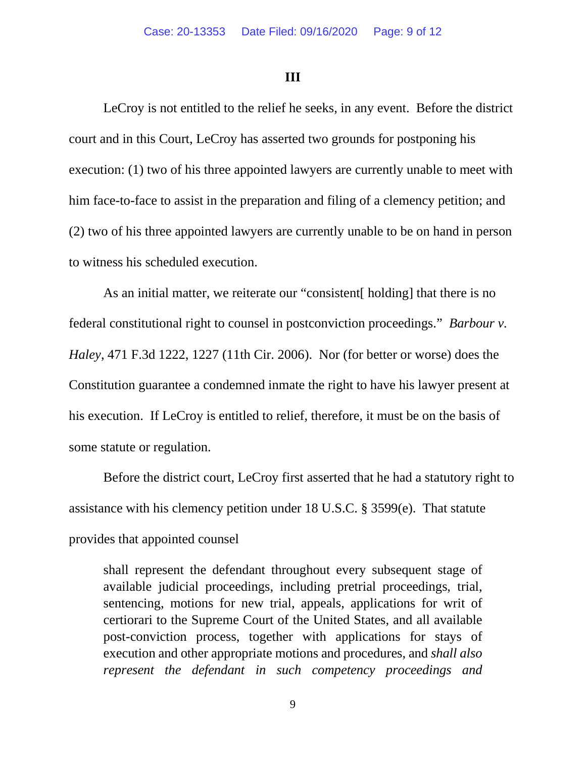### **III**

LeCroy is not entitled to the relief he seeks, in any event. Before the district court and in this Court, LeCroy has asserted two grounds for postponing his execution: (1) two of his three appointed lawyers are currently unable to meet with him face-to-face to assist in the preparation and filing of a clemency petition; and (2) two of his three appointed lawyers are currently unable to be on hand in person to witness his scheduled execution.

As an initial matter, we reiterate our "consistent<sup>[ holding]</sup> that there is no federal constitutional right to counsel in postconviction proceedings." *Barbour v. Haley*, 471 F.3d 1222, 1227 (11th Cir. 2006). Nor (for better or worse) does the Constitution guarantee a condemned inmate the right to have his lawyer present at his execution. If LeCroy is entitled to relief, therefore, it must be on the basis of some statute or regulation.

Before the district court, LeCroy first asserted that he had a statutory right to assistance with his clemency petition under 18 U.S.C. § 3599(e). That statute provides that appointed counsel

shall represent the defendant throughout every subsequent stage of available judicial proceedings, including pretrial proceedings, trial, sentencing, motions for new trial, appeals, applications for writ of certiorari to the Supreme Court of the United States, and all available post-conviction process, together with applications for stays of execution and other appropriate motions and procedures, and *shall also represent the defendant in such competency proceedings and*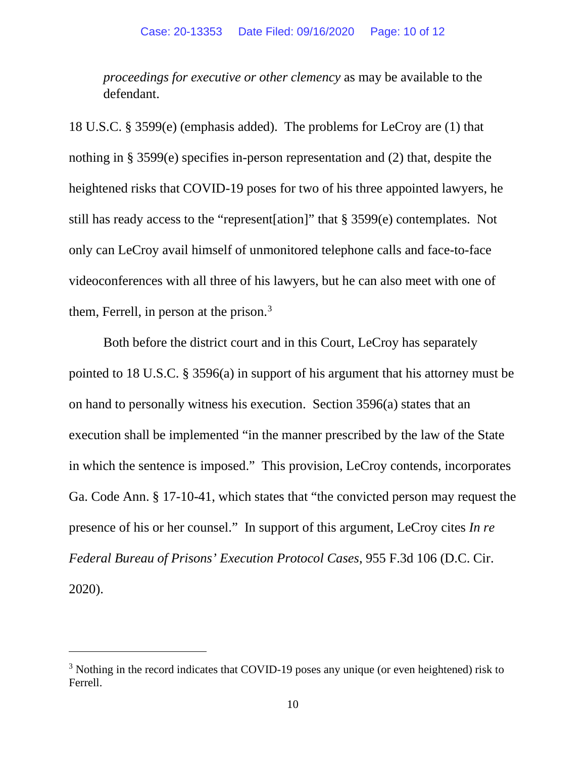*proceedings for executive or other clemency* as may be available to the defendant.

18 U.S.C. § 3599(e) (emphasis added). The problems for LeCroy are (1) that nothing in § 3599(e) specifies in-person representation and (2) that, despite the heightened risks that COVID-19 poses for two of his three appointed lawyers, he still has ready access to the "represent[ation]" that § 3599(e) contemplates. Not only can LeCroy avail himself of unmonitored telephone calls and face-to-face videoconferences with all three of his lawyers, but he can also meet with one of them, Ferrell, in person at the prison.<sup>3</sup>

Both before the district court and in this Court, LeCroy has separately pointed to 18 U.S.C. § 3596(a) in support of his argument that his attorney must be on hand to personally witness his execution. Section 3596(a) states that an execution shall be implemented "in the manner prescribed by the law of the State in which the sentence is imposed." This provision, LeCroy contends, incorporates Ga. Code Ann. § 17-10-41, which states that "the convicted person may request the presence of his or her counsel." In support of this argument, LeCroy cites *In re Federal Bureau of Prisons' Execution Protocol Cases*, 955 F.3d 106 (D.C. Cir. 2020).

<sup>&</sup>lt;sup>3</sup> Nothing in the record indicates that COVID-19 poses any unique (or even heightened) risk to Ferrell.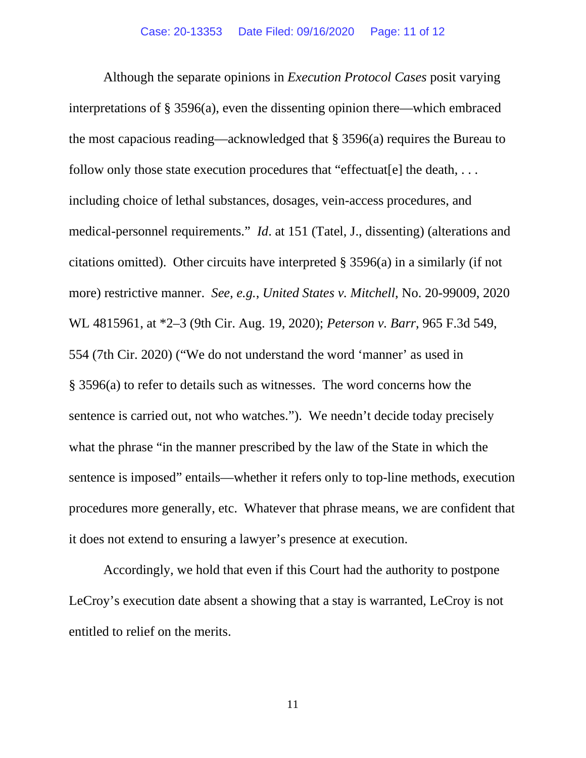Although the separate opinions in *Execution Protocol Cases* posit varying interpretations of § 3596(a), even the dissenting opinion there—which embraced the most capacious reading—acknowledged that § 3596(a) requires the Bureau to follow only those state execution procedures that "effectuater" all the death,  $\dots$ including choice of lethal substances, dosages, vein-access procedures, and medical-personnel requirements." *Id*. at 151 (Tatel, J., dissenting) (alterations and citations omitted). Other circuits have interpreted § 3596(a) in a similarly (if not more) restrictive manner. *See, e.g.*, *United States v. Mitchell*, No. 20-99009, 2020 WL 4815961, at \*2–3 (9th Cir. Aug. 19, 2020); *Peterson v. Barr*, 965 F.3d 549, 554 (7th Cir. 2020) ("We do not understand the word 'manner' as used in § 3596(a) to refer to details such as witnesses. The word concerns how the sentence is carried out, not who watches."). We needn't decide today precisely what the phrase "in the manner prescribed by the law of the State in which the sentence is imposed" entails—whether it refers only to top-line methods, execution procedures more generally, etc. Whatever that phrase means, we are confident that it does not extend to ensuring a lawyer's presence at execution.

Accordingly, we hold that even if this Court had the authority to postpone LeCroy's execution date absent a showing that a stay is warranted, LeCroy is not entitled to relief on the merits.

11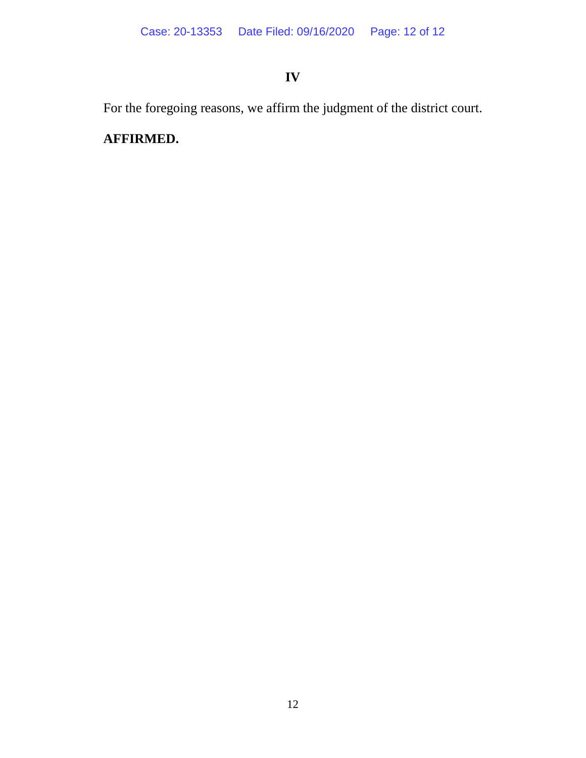# **IV**

For the foregoing reasons, we affirm the judgment of the district court.

# **AFFIRMED.**